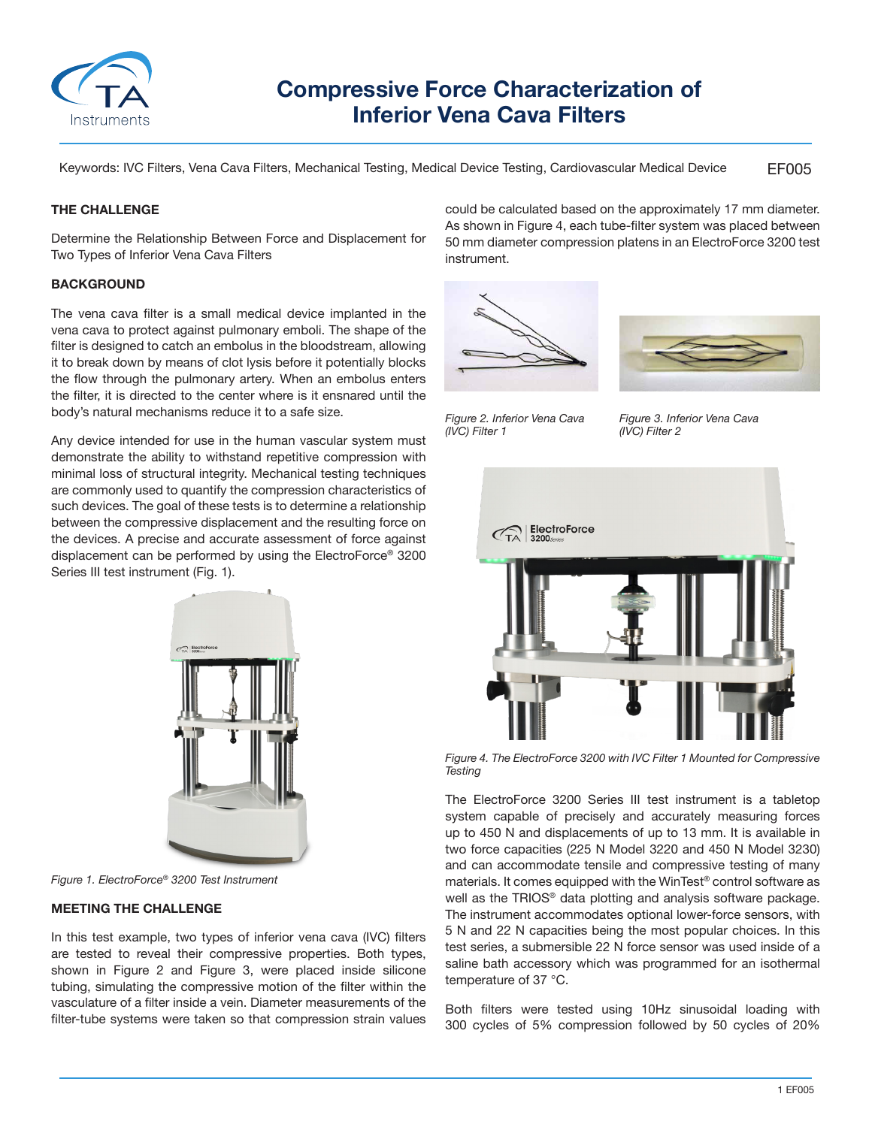

# **Compressive Force Characterization of Inferior Vena Cava Filters**

EF005 Keywords: IVC Filters, Vena Cava Filters, Mechanical Testing, Medical Device Testing, Cardiovascular Medical Device

# **THE CHALLENGE**

Determine the Relationship Between Force and Displacement for Two Types of Inferior Vena Cava Filters

# **BACKGROUND**

The vena cava filter is a small medical device implanted in the vena cava to protect against pulmonary emboli. The shape of the filter is designed to catch an embolus in the bloodstream, allowing it to break down by means of clot lysis before it potentially blocks the flow through the pulmonary artery. When an embolus enters the filter, it is directed to the center where is it ensnared until the body's natural mechanisms reduce it to a safe size.

Any device intended for use in the human vascular system must demonstrate the ability to withstand repetitive compression with minimal loss of structural integrity. Mechanical testing techniques are commonly used to quantify the compression characteristics of such devices. The goal of these tests is to determine a relationship between the compressive displacement and the resulting force on the devices. A precise and accurate assessment of force against displacement can be performed by using the ElectroForce® 3200 Series III test instrument (Fig. 1).



*Figure 1. ElectroForce® 3200 Test Instrument*

# **MEETING THE CHALLENGE**

In this test example, two types of inferior vena cava (IVC) filters are tested to reveal their compressive properties. Both types, shown in Figure 2 and Figure 3, were placed inside silicone tubing, simulating the compressive motion of the filter within the vasculature of a filter inside a vein. Diameter measurements of the filter-tube systems were taken so that compression strain values could be calculated based on the approximately 17 mm diameter. As shown in Figure 4, each tube-filter system was placed between 50 mm diameter compression platens in an ElectroForce 3200 test instrument.





*Figure 2. Inferior Vena Cava (IVC) Filter 1*

*Figure 3. Inferior Vena Cava (IVC) Filter 2*



*Figure 4. The ElectroForce 3200 with IVC Filter 1 Mounted for Compressive Testing*

The ElectroForce 3200 Series III test instrument is a tabletop system capable of precisely and accurately measuring forces up to 450 N and displacements of up to 13 mm. It is available in two force capacities (225 N Model 3220 and 450 N Model 3230) and can accommodate tensile and compressive testing of many materials. It comes equipped with the WinTest® control software as well as the TRIOS® data plotting and analysis software package. The instrument accommodates optional lower-force sensors, with 5 N and 22 N capacities being the most popular choices. In this test series, a submersible 22 N force sensor was used inside of a saline bath accessory which was programmed for an isothermal temperature of 37 °C.

Both filters were tested using 10Hz sinusoidal loading with 300 cycles of 5% compression followed by 50 cycles of 20%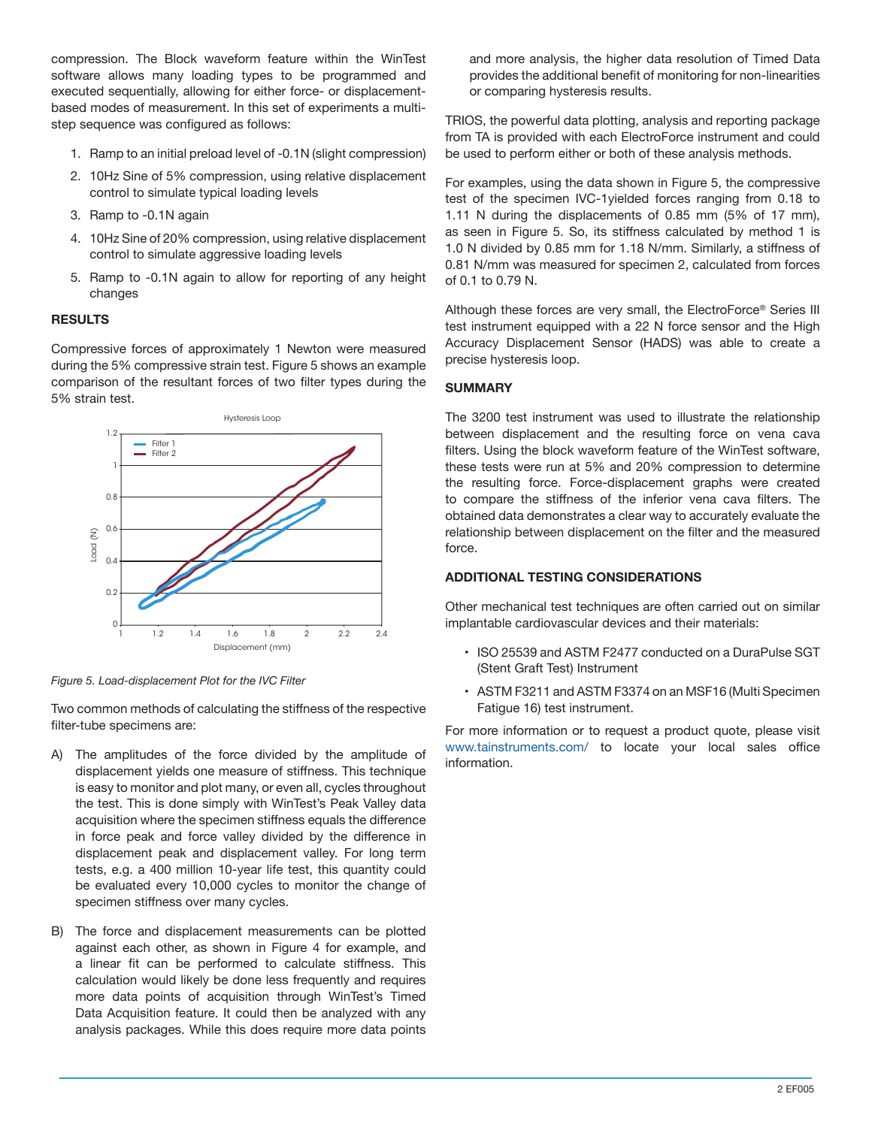compression. The Block waveform feature within the WinTest software allows many loading types to be programmed and executed sequentially, allowing for either force- or displacementbased modes of measurement. In this set of experiments a multistep sequence was configured as follows:

- 1. Ramp to an initial preload level of -0.1N (slight compression)
- 2. 10Hz Sine of 5% compression, using relative displacement control to simulate typical loading levels
- 3. Ramp to -0.1N again
- 4. 10Hz Sine of 20% compression, using relative displacement control to simulate aggressive loading levels
- 5. Ramp to -0.1N again to allow for reporting of any height changes

### **RESULTS**

Compressive forces of approximately 1 Newton were measured during the 5% compressive strain test. Figure 5 shows an example comparison of the resultant forces of two filter types during the 5% strain test.



*Figure 5. Load-displacement Plot for the IVC Filter*

Two common methods of calculating the stiffness of the respective filter-tube specimens are:

- A) The amplitudes of the force divided by the amplitude of displacement yields one measure of stiffness. This technique is easy to monitor and plot many, or even all, cycles throughout the test. This is done simply with WinTest's Peak Valley data acquisition where the specimen stiffness equals the difference in force peak and force valley divided by the difference in displacement peak and displacement valley. For long term tests, e.g. a 400 million 10-year life test, this quantity could be evaluated every 10,000 cycles to monitor the change of specimen stiffness over many cycles.
- B) The force and displacement measurements can be plotted against each other, as shown in Figure 4 for example, and a linear fit can be performed to calculate stiffness. This calculation would likely be done less frequently and requires more data points of acquisition through WinTest's Timed Data Acquisition feature. It could then be analyzed with any analysis packages. While this does require more data points

and more analysis, the higher data resolution of Timed Data provides the additional benefit of monitoring for non-linearities or comparing hysteresis results.

TRIOS, the powerful data plotting, analysis and reporting package from TA is provided with each ElectroForce instrument and could be used to perform either or both of these analysis methods.

For examples, using the data shown in Figure 5, the compressive test of the specimen IVC-1yielded forces ranging from 0.18 to 1.11 N during the displacements of 0.85 mm (5% of 17 mm), as seen in Figure 5. So, its stiffness calculated by method 1 is 1.0 N divided by 0.85 mm for 1.18 N/mm. Similarly, a stiffness of 0.81 N/mm was measured for specimen 2, calculated from forces of 0.1 to 0.79 N.

Although these forces are very small, the ElectroForce® Series III test instrument equipped with a 22 N force sensor and the High Accuracy Displacement Sensor (HADS) was able to create a precise hysteresis loop.

#### **SUMMARY**

The 3200 test instrument was used to illustrate the relationship between displacement and the resulting force on vena cava filters. Using the block waveform feature of the WinTest software, these tests were run at 5% and 20% compression to determine the resulting force. Force-displacement graphs were created to compare the stiffness of the inferior vena cava filters. The obtained data demonstrates a clear way to accurately evaluate the relationship between displacement on the filter and the measured force.

#### **ADDITIONAL TESTING CONSIDERATIONS**

Other mechanical test techniques are often carried out on similar implantable cardiovascular devices and their materials:

- ISO 25539 and ASTM F2477 conducted on a DuraPulse SGT (Stent Graft Test) Instrument
- ASTM F3211 and ASTM F3374 on an MSF16 (Multi Specimen Fatigue 16) test instrument.

For more information or to request a product quote, please visit www.tainstruments.com/ to locate your local sales office information.